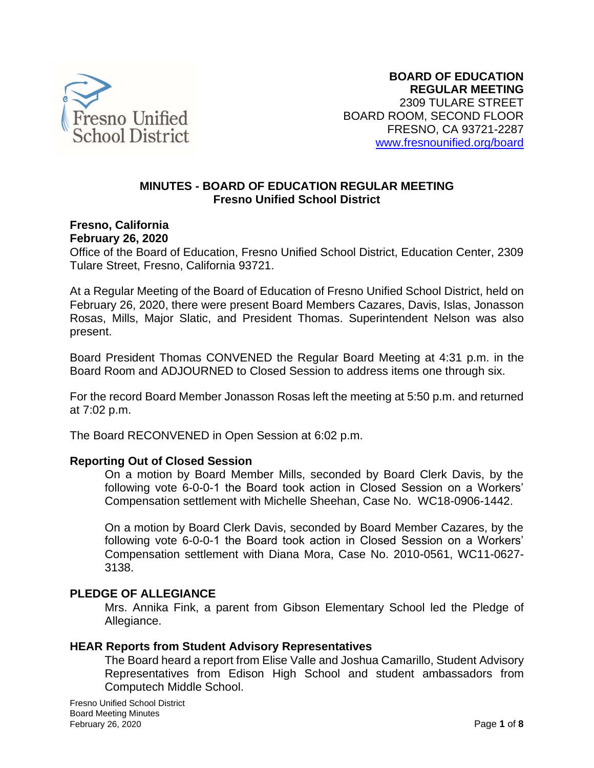

#### **MINUTES - BOARD OF EDUCATION REGULAR MEETING Fresno Unified School District**

**Fresno, California**

**February 26, 2020**

Office of the Board of Education, Fresno Unified School District, Education Center, 2309 Tulare Street, Fresno, California 93721.

At a Regular Meeting of the Board of Education of Fresno Unified School District, held on February 26, 2020, there were present Board Members Cazares, Davis, Islas, Jonasson Rosas, Mills, Major Slatic, and President Thomas. Superintendent Nelson was also present.

Board President Thomas CONVENED the Regular Board Meeting at 4:31 p.m. in the Board Room and ADJOURNED to Closed Session to address items one through six.

For the record Board Member Jonasson Rosas left the meeting at 5:50 p.m. and returned at 7:02 p.m.

The Board RECONVENED in Open Session at 6:02 p.m.

#### **Reporting Out of Closed Session**

On a motion by Board Member Mills, seconded by Board Clerk Davis, by the following vote 6-0-0-1 the Board took action in Closed Session on a Workers' Compensation settlement with Michelle Sheehan, Case No. WC18-0906-1442.

On a motion by Board Clerk Davis, seconded by Board Member Cazares, by the following vote 6-0-0-1 the Board took action in Closed Session on a Workers' Compensation settlement with Diana Mora, Case No. 2010-0561, WC11-0627- 3138.

#### **PLEDGE OF ALLEGIANCE**

Mrs. Annika Fink, a parent from Gibson Elementary School led the Pledge of Allegiance.

#### **HEAR Reports from Student Advisory Representatives**

The Board heard a report from Elise Valle and Joshua Camarillo, Student Advisory Representatives from Edison High School and student ambassadors from Computech Middle School.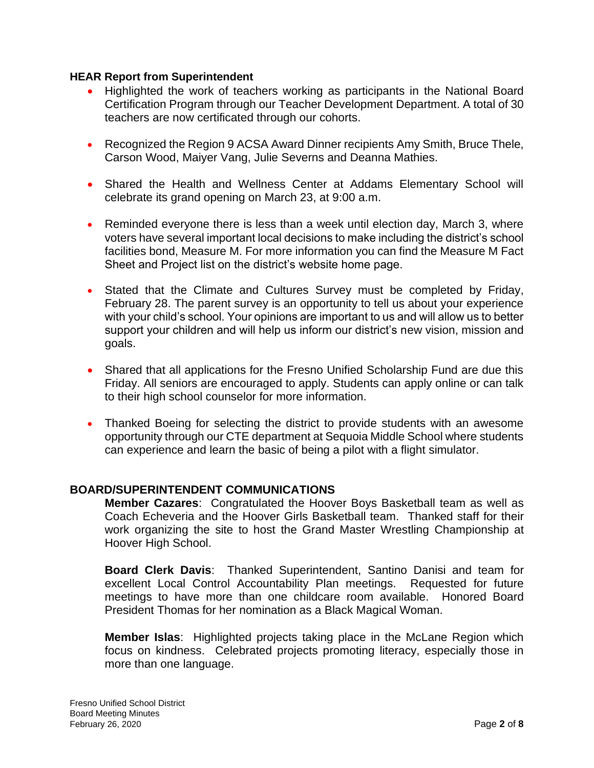#### **HEAR Report from Superintendent**

- Highlighted the work of teachers working as participants in the National Board Certification Program through our Teacher Development Department. A total of 30 teachers are now certificated through our cohorts.
- Recognized the Region 9 ACSA Award Dinner recipients Amy Smith, Bruce Thele, Carson Wood, Maiyer Vang, Julie Severns and Deanna Mathies.
- Shared the Health and Wellness Center at Addams Elementary School will celebrate its grand opening on March 23, at 9:00 a.m.
- Reminded everyone there is less than a week until election day, March 3, where voters have several important local decisions to make including the district's school facilities bond, Measure M. For more information you can find the Measure M Fact Sheet and Project list on the district's website home page.
- Stated that the Climate and Cultures Survey must be completed by Friday, February 28. The parent survey is an opportunity to tell us about your experience with your child's school. Your opinions are important to us and will allow us to better support your children and will help us inform our district's new vision, mission and goals.
- Shared that all applications for the Fresno Unified Scholarship Fund are due this Friday. All seniors are encouraged to apply. Students can apply online or can talk to their high school counselor for more information.
- Thanked Boeing for selecting the district to provide students with an awesome opportunity through our CTE department at Sequoia Middle School where students can experience and learn the basic of being a pilot with a flight simulator.

# **BOARD/SUPERINTENDENT COMMUNICATIONS**

**Member Cazares**: Congratulated the Hoover Boys Basketball team as well as Coach Echeveria and the Hoover Girls Basketball team. Thanked staff for their work organizing the site to host the Grand Master Wrestling Championship at Hoover High School.

**Board Clerk Davis**: Thanked Superintendent, Santino Danisi and team for excellent Local Control Accountability Plan meetings. Requested for future meetings to have more than one childcare room available. Honored Board President Thomas for her nomination as a Black Magical Woman.

**Member Islas**: Highlighted projects taking place in the McLane Region which focus on kindness. Celebrated projects promoting literacy, especially those in more than one language.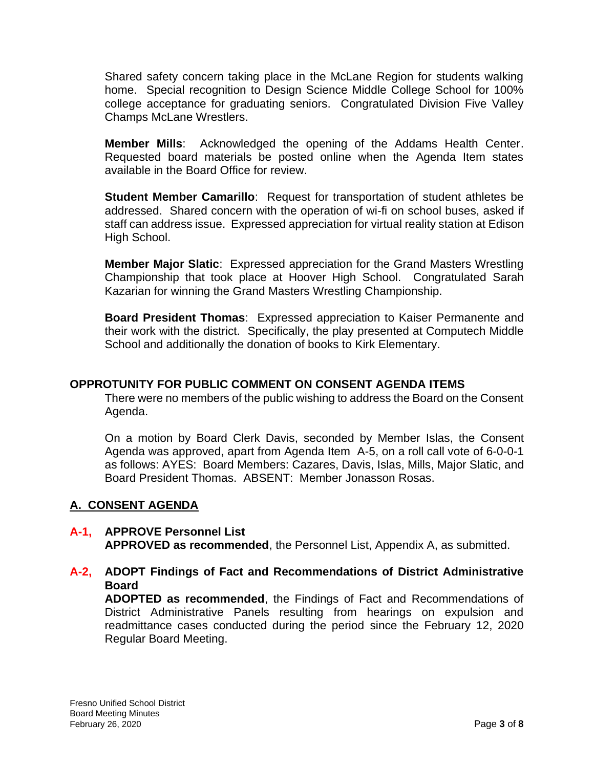Shared safety concern taking place in the McLane Region for students walking home. Special recognition to Design Science Middle College School for 100% college acceptance for graduating seniors. Congratulated Division Five Valley Champs McLane Wrestlers.

**Member Mills**: Acknowledged the opening of the Addams Health Center. Requested board materials be posted online when the Agenda Item states available in the Board Office for review.

**Student Member Camarillo**: Request for transportation of student athletes be addressed. Shared concern with the operation of wi-fi on school buses, asked if staff can address issue. Expressed appreciation for virtual reality station at Edison High School.

**Member Major Slatic**: Expressed appreciation for the Grand Masters Wrestling Championship that took place at Hoover High School. Congratulated Sarah Kazarian for winning the Grand Masters Wrestling Championship.

**Board President Thomas**: Expressed appreciation to Kaiser Permanente and their work with the district. Specifically, the play presented at Computech Middle School and additionally the donation of books to Kirk Elementary.

# **OPPROTUNITY FOR PUBLIC COMMENT ON CONSENT AGENDA ITEMS**

There were no members of the public wishing to address the Board on the Consent Agenda.

On a motion by Board Clerk Davis, seconded by Member Islas, the Consent Agenda was approved, apart from Agenda Item A-5, on a roll call vote of 6-0-0-1 as follows: AYES: Board Members: Cazares, Davis, Islas, Mills, Major Slatic, and Board President Thomas. ABSENT: Member Jonasson Rosas.

# **A. CONSENT AGENDA**

# **A-1, APPROVE Personnel List**

**APPROVED as recommended**, the Personnel List, Appendix A, as submitted.

# **A-2, ADOPT Findings of Fact and Recommendations of District Administrative Board**

**ADOPTED as recommended**, the Findings of Fact and Recommendations of District Administrative Panels resulting from hearings on expulsion and readmittance cases conducted during the period since the February 12, 2020 Regular Board Meeting.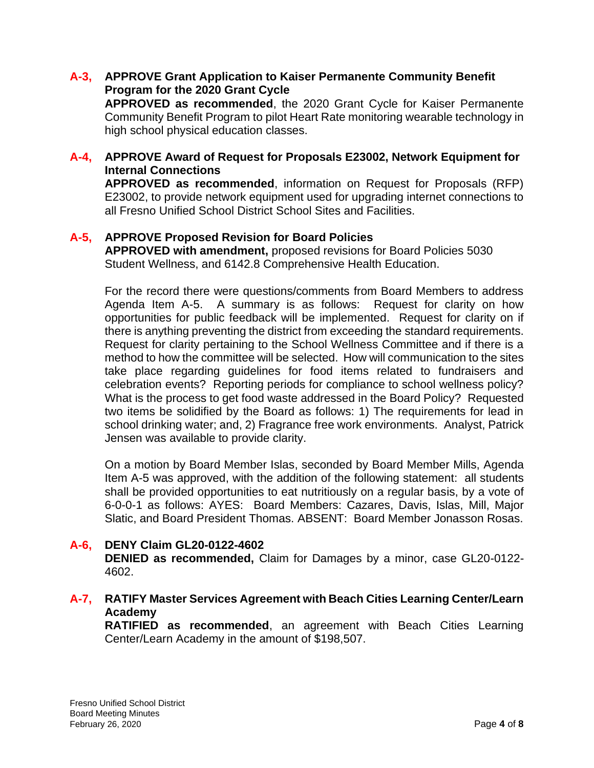# **A-3, APPROVE Grant Application to Kaiser Permanente Community Benefit Program for the 2020 Grant Cycle**

**APPROVED as recommended**, the 2020 Grant Cycle for Kaiser Permanente Community Benefit Program to pilot Heart Rate monitoring wearable technology in high school physical education classes.

# **A-4, APPROVE Award of Request for Proposals E23002, Network Equipment for Internal Connections**

**APPROVED as recommended**, information on Request for Proposals (RFP) E23002, to provide network equipment used for upgrading internet connections to all Fresno Unified School District School Sites and Facilities.

# **A-5, APPROVE Proposed Revision for Board Policies**

**APPROVED with amendment,** proposed revisions for Board Policies 5030 Student Wellness, and 6142.8 Comprehensive Health Education.

For the record there were questions/comments from Board Members to address Agenda Item A-5. A summary is as follows: Request for clarity on how opportunities for public feedback will be implemented. Request for clarity on if there is anything preventing the district from exceeding the standard requirements. Request for clarity pertaining to the School Wellness Committee and if there is a method to how the committee will be selected. How will communication to the sites take place regarding guidelines for food items related to fundraisers and celebration events? Reporting periods for compliance to school wellness policy? What is the process to get food waste addressed in the Board Policy? Requested two items be solidified by the Board as follows: 1) The requirements for lead in school drinking water; and, 2) Fragrance free work environments. Analyst, Patrick Jensen was available to provide clarity.

On a motion by Board Member Islas, seconded by Board Member Mills, Agenda Item A-5 was approved, with the addition of the following statement: all students shall be provided opportunities to eat nutritiously on a regular basis, by a vote of 6-0-0-1 as follows: AYES: Board Members: Cazares, Davis, Islas, Mill, Major Slatic, and Board President Thomas. ABSENT: Board Member Jonasson Rosas.

# **A-6, DENY Claim GL20-0122-4602**

**DENIED as recommended,** Claim for Damages by a minor, case GL20-0122- 4602.

# **A-7, RATIFY Master Services Agreement with Beach Cities Learning Center/Learn Academy**

**RATIFIED as recommended**, an agreement with Beach Cities Learning Center/Learn Academy in the amount of \$198,507.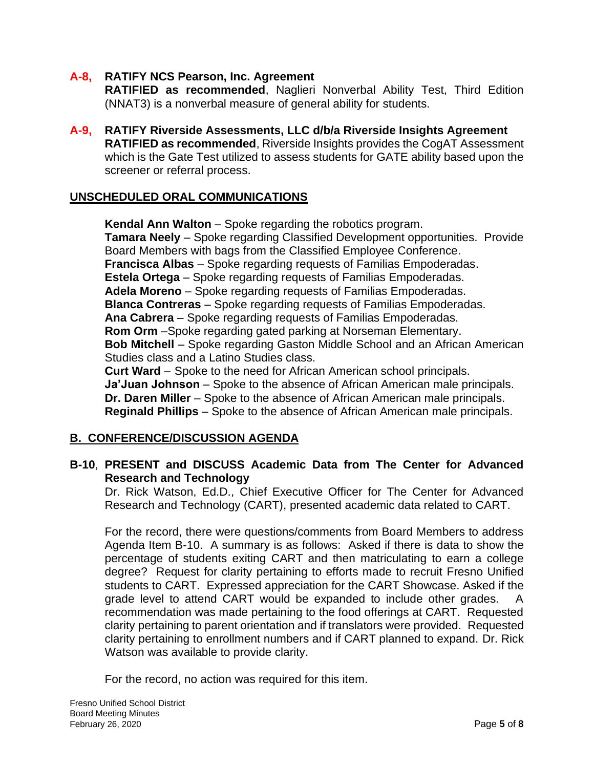# **A-8, RATIFY NCS Pearson, Inc. Agreement**

**RATIFIED as recommended**, Naglieri Nonverbal Ability Test, Third Edition (NNAT3) is a nonverbal measure of general ability for students.

**A-9, RATIFY Riverside Assessments, LLC d/b/a Riverside Insights Agreement RATIFIED as recommended**, Riverside Insights provides the CogAT Assessment which is the Gate Test utilized to assess students for GATE ability based upon the screener or referral process.

## **UNSCHEDULED ORAL COMMUNICATIONS**

**Kendal Ann Walton** – Spoke regarding the robotics program. **Tamara Neely** – Spoke regarding Classified Development opportunities. Provide Board Members with bags from the Classified Employee Conference. **Francisca Albas** – Spoke regarding requests of Familias Empoderadas. **Estela Ortega** – Spoke regarding requests of Familias Empoderadas. **Adela Moreno** – Spoke regarding requests of Familias Empoderadas. **Blanca Contreras** – Spoke regarding requests of Familias Empoderadas. **Ana Cabrera** – Spoke regarding requests of Familias Empoderadas. **Rom Orm** –Spoke regarding gated parking at Norseman Elementary. **Bob Mitchell** – Spoke regarding Gaston Middle School and an African American Studies class and a Latino Studies class. **Curt Ward** – Spoke to the need for African American school principals.

**Ja'Juan Johnson** – Spoke to the absence of African American male principals. **Dr. Daren Miller** – Spoke to the absence of African American male principals. **Reginald Phillips** – Spoke to the absence of African American male principals.

# **B. CONFERENCE/DISCUSSION AGENDA**

# **B-10**, **PRESENT and DISCUSS Academic Data from The Center for Advanced Research and Technology**

Dr. Rick Watson, Ed.D., Chief Executive Officer for The Center for Advanced Research and Technology (CART), presented academic data related to CART.

For the record, there were questions/comments from Board Members to address Agenda Item B-10. A summary is as follows: Asked if there is data to show the percentage of students exiting CART and then matriculating to earn a college degree? Request for clarity pertaining to efforts made to recruit Fresno Unified students to CART. Expressed appreciation for the CART Showcase. Asked if the grade level to attend CART would be expanded to include other grades. A recommendation was made pertaining to the food offerings at CART. Requested clarity pertaining to parent orientation and if translators were provided. Requested clarity pertaining to enrollment numbers and if CART planned to expand. Dr. Rick Watson was available to provide clarity.

For the record, no action was required for this item.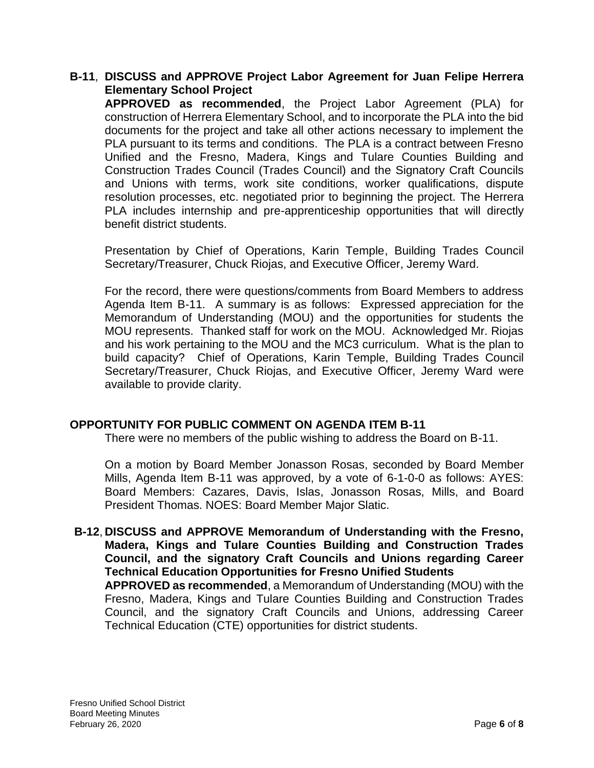#### **B-11**, **DISCUSS and APPROVE Project Labor Agreement for Juan Felipe Herrera Elementary School Project**

**APPROVED as recommended**, the Project Labor Agreement (PLA) for construction of Herrera Elementary School, and to incorporate the PLA into the bid documents for the project and take all other actions necessary to implement the PLA pursuant to its terms and conditions. The PLA is a contract between Fresno Unified and the Fresno, Madera, Kings and Tulare Counties Building and Construction Trades Council (Trades Council) and the Signatory Craft Councils and Unions with terms, work site conditions, worker qualifications, dispute resolution processes, etc. negotiated prior to beginning the project. The Herrera PLA includes internship and pre-apprenticeship opportunities that will directly benefit district students.

Presentation by Chief of Operations, Karin Temple, Building Trades Council Secretary/Treasurer, Chuck Riojas, and Executive Officer, Jeremy Ward.

For the record, there were questions/comments from Board Members to address Agenda Item B-11. A summary is as follows: Expressed appreciation for the Memorandum of Understanding (MOU) and the opportunities for students the MOU represents. Thanked staff for work on the MOU. Acknowledged Mr. Riojas and his work pertaining to the MOU and the MC3 curriculum. What is the plan to build capacity? Chief of Operations, Karin Temple, Building Trades Council Secretary/Treasurer, Chuck Riojas, and Executive Officer, Jeremy Ward were available to provide clarity.

# **OPPORTUNITY FOR PUBLIC COMMENT ON AGENDA ITEM B-11**

There were no members of the public wishing to address the Board on B-11.

On a motion by Board Member Jonasson Rosas, seconded by Board Member Mills, Agenda Item B-11 was approved, by a vote of 6-1-0-0 as follows: AYES: Board Members: Cazares, Davis, Islas, Jonasson Rosas, Mills, and Board President Thomas. NOES: Board Member Major Slatic.

#### **B-12**, **DISCUSS and APPROVE Memorandum of Understanding with the Fresno, Madera, Kings and Tulare Counties Building and Construction Trades Council, and the signatory Craft Councils and Unions regarding Career Technical Education Opportunities for Fresno Unified Students**

**APPROVED as recommended**, a Memorandum of Understanding (MOU) with the Fresno, Madera, Kings and Tulare Counties Building and Construction Trades Council, and the signatory Craft Councils and Unions, addressing Career Technical Education (CTE) opportunities for district students.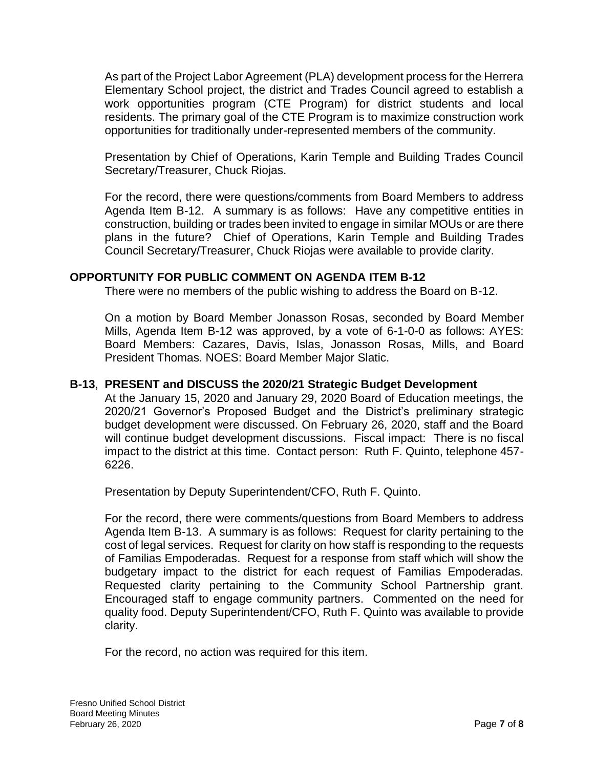As part of the Project Labor Agreement (PLA) development process for the Herrera Elementary School project, the district and Trades Council agreed to establish a work opportunities program (CTE Program) for district students and local residents. The primary goal of the CTE Program is to maximize construction work opportunities for traditionally under-represented members of the community.

Presentation by Chief of Operations, Karin Temple and Building Trades Council Secretary/Treasurer, Chuck Riojas.

For the record, there were questions/comments from Board Members to address Agenda Item B-12. A summary is as follows: Have any competitive entities in construction, building or trades been invited to engage in similar MOUs or are there plans in the future? Chief of Operations, Karin Temple and Building Trades Council Secretary/Treasurer, Chuck Riojas were available to provide clarity.

# **OPPORTUNITY FOR PUBLIC COMMENT ON AGENDA ITEM B-12**

There were no members of the public wishing to address the Board on B-12.

On a motion by Board Member Jonasson Rosas, seconded by Board Member Mills, Agenda Item B-12 was approved, by a vote of 6-1-0-0 as follows: AYES: Board Members: Cazares, Davis, Islas, Jonasson Rosas, Mills, and Board President Thomas. NOES: Board Member Major Slatic.

# **B-13**, **PRESENT and DISCUSS the 2020/21 Strategic Budget Development**

At the January 15, 2020 and January 29, 2020 Board of Education meetings, the 2020/21 Governor's Proposed Budget and the District's preliminary strategic budget development were discussed. On February 26, 2020, staff and the Board will continue budget development discussions. Fiscal impact: There is no fiscal impact to the district at this time. Contact person: Ruth F. Quinto, telephone 457- 6226.

Presentation by Deputy Superintendent/CFO, Ruth F. Quinto.

For the record, there were comments/questions from Board Members to address Agenda Item B-13. A summary is as follows: Request for clarity pertaining to the cost of legal services. Request for clarity on how staff is responding to the requests of Familias Empoderadas. Request for a response from staff which will show the budgetary impact to the district for each request of Familias Empoderadas. Requested clarity pertaining to the Community School Partnership grant. Encouraged staff to engage community partners. Commented on the need for quality food. Deputy Superintendent/CFO, Ruth F. Quinto was available to provide clarity.

For the record, no action was required for this item.